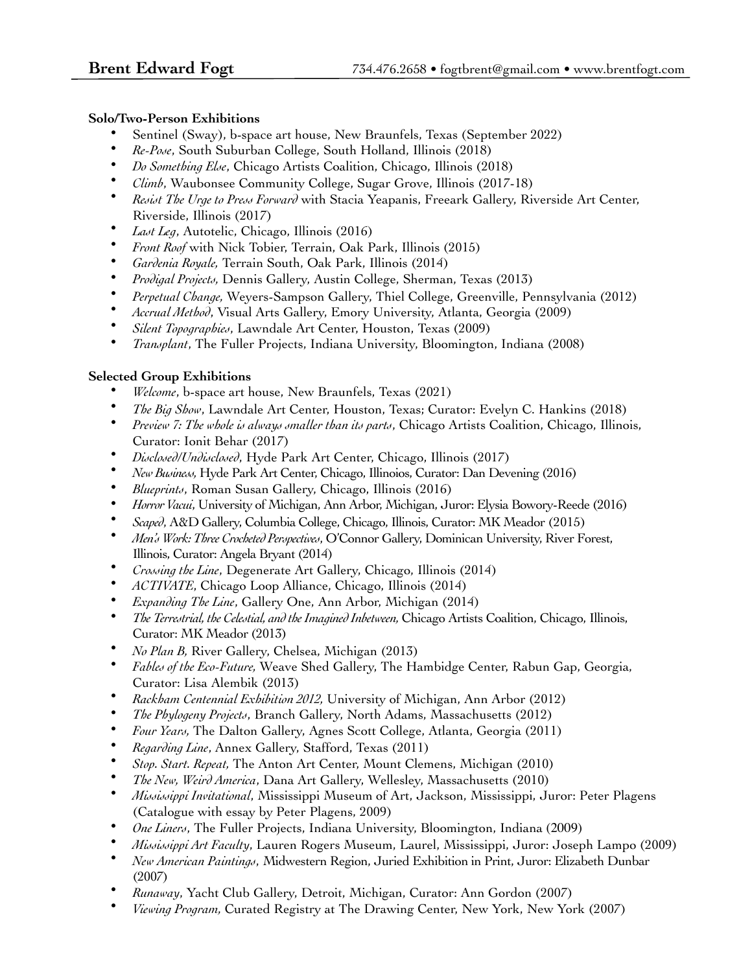## **Solo/Two-Person Exhibitions**

- Sentinel (Sway), b-space art house, New Braunfels, Texas (September 2022)
- *Re-Pose*, South Suburban College, South Holland, Illinois (2018)
- *Do Something Else*, Chicago Artists Coalition, Chicago, Illinois (2018)
- *Climb*, Waubonsee Community College, Sugar Grove, Illinois (2017-18)
- *Resist The Urge to Press Forward* with Stacia Yeapanis, Freeark Gallery, Riverside Art Center, Riverside, Illinois (2017)
- *Last Leg*, Autotelic, Chicago, Illinois (2016)
- *Front Roof* with Nick Tobier, Terrain, Oak Park, Illinois (2015)
- *Gardenia Royale,* Terrain South, Oak Park, Illinois (2014)
- *Prodigal Projects,* Dennis Gallery, Austin College, Sherman, Texas (2013)
- *Perpetual Change,* Weyers-Sampson Gallery, Thiel College, Greenville, Pennsylvania (2012)
- *Accrual Method*, Visual Arts Gallery, Emory University, Atlanta, Georgia (2009)
- *Silent Topographies*, Lawndale Art Center, Houston, Texas (2009)
- *Transplant*, The Fuller Projects, Indiana University, Bloomington, Indiana (2008)

## **Selected Group Exhibitions**

- *Welcome*, b-space art house, New Braunfels, Texas (2021)
- *The Big Show*, Lawndale Art Center, Houston, Texas; Curator: Evelyn C. Hankins (2018)
- *Preview 7: The whole is always smaller than its parts*, Chicago Artists Coalition, Chicago, Illinois, Curator: Ionit Behar (2017)
- *Disclosed/Undisclosed*, Hyde Park Art Center, Chicago, Illinois (2017)
- *New Business,* Hyde Park Art Center, Chicago, Illinoios, Curator: Dan Devening (2016)
- *Blueprints*, Roman Susan Gallery, Chicago, Illinois (2016)
- *Horror Vacui*, University of Michigan, Ann Arbor, Michigan, Juror: Elysia Bowory-Reede (2016)
- *Scaped*, A&D Gallery, Columbia College, Chicago, Illinois, Curator: MK Meador (2015)
- *Men's Work: Three Crocheted Perspectives*, O'Connor Gallery, Dominican University, River Forest, Illinois, Curator: Angela Bryant (2014)
- *Crossing the Line*, Degenerate Art Gallery, Chicago, Illinois (2014)
- *ACTIVATE*, Chicago Loop Alliance, Chicago, Illinois (2014)
- *Expanding The Line*, Gallery One, Ann Arbor, Michigan (2014)
- *The Terrestrial, the Celestial, and the Imagined Inbetween, Chicago Artists Coalition, Chicago, Illinois,* Curator: MK Meador (2013)
- *No Plan B,* River Gallery, Chelsea, Michigan (2013)
- *Fables of the Eco-Future,* Weave Shed Gallery, The Hambidge Center, Rabun Gap, Georgia, Curator: Lisa Alembik (2013)
- *Rackham Centennial Exhibition 2012,* University of Michigan, Ann Arbor (2012)
- *The Phylogeny Projects*, Branch Gallery, North Adams, Massachusetts (2012)
- *Four Years,* The Dalton Gallery, Agnes Scott College, Atlanta, Georgia (2011)
- *Regarding Line*, Annex Gallery, Stafford, Texas (2011)
- *Stop. Start. Repeat,* The Anton Art Center, Mount Clemens, Michigan (2010)
- *The New, Weird America*, Dana Art Gallery, Wellesley, Massachusetts (2010)
- *Mississippi Invitational*, Mississippi Museum of Art, Jackson, Mississippi, Juror: Peter Plagens (Catalogue with essay by Peter Plagens, 2009)
- *One Liners*, The Fuller Projects, Indiana University, Bloomington, Indiana (2009)
- *Mississippi Art Faculty*, Lauren Rogers Museum, Laurel, Mississippi, Juror: Joseph Lampo (2009)
- *New American Paintings*, Midwestern Region, Juried Exhibition in Print, Juror: Elizabeth Dunbar (2007)
- *Runaway*, Yacht Club Gallery, Detroit, Michigan, Curator: Ann Gordon (2007)
- *Viewing Program,* Curated Registry at The Drawing Center, New York, New York (2007)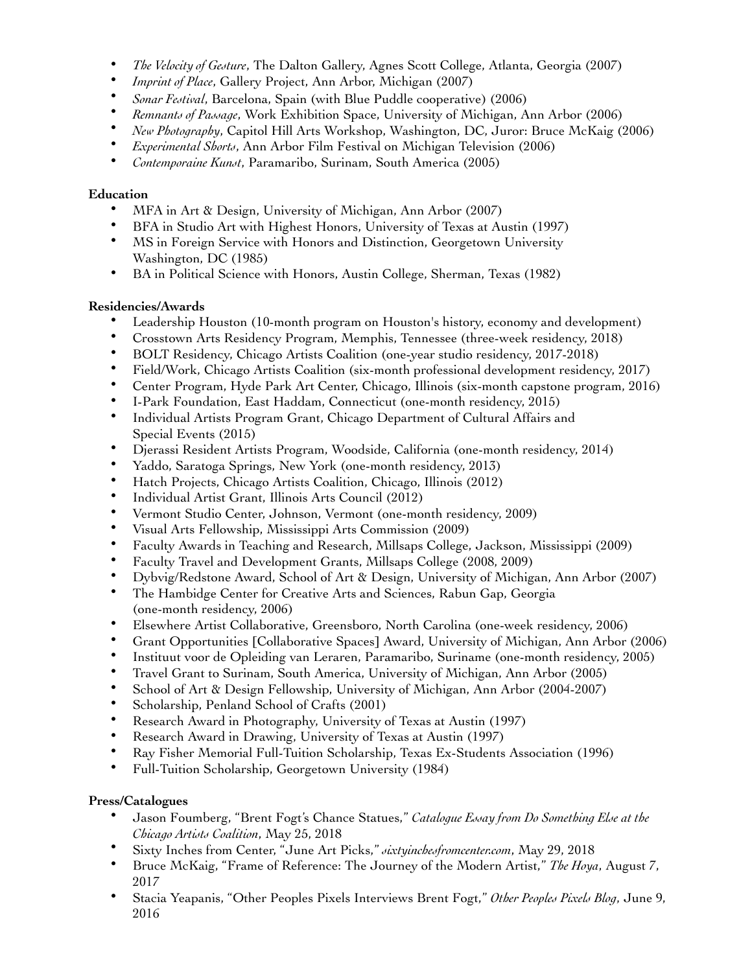- *The Velocity of Gesture*, The Dalton Gallery, Agnes Scott College, Atlanta, Georgia (2007)
- *Imprint of Place*, Gallery Project, Ann Arbor, Michigan (2007)
- *Sonar Festival*, Barcelona, Spain (with Blue Puddle cooperative) (2006)
- *Remnants of Passage*, Work Exhibition Space, University of Michigan, Ann Arbor (2006)
- *New Photography*, Capitol Hill Arts Workshop, Washington, DC, Juror: Bruce McKaig (2006)
- *Experimental Shorts*, Ann Arbor Film Festival on Michigan Television (2006)
- *Contemporaine Kunst*, Paramaribo, Surinam, South America (2005)

## **Education**

- MFA in Art & Design, University of Michigan, Ann Arbor (2007)
- BFA in Studio Art with Highest Honors, University of Texas at Austin (1997)
- MS in Foreign Service with Honors and Distinction, Georgetown University Washington, DC (1985)
- BA in Political Science with Honors, Austin College, Sherman, Texas (1982)

# **Residencies/Awards**

- Leadership Houston (10-month program on Houston's history, economy and development)
- Crosstown Arts Residency Program, Memphis, Tennessee (three-week residency, 2018)
- BOLT Residency, Chicago Artists Coalition (one-year studio residency, 2017-2018)
- Field/Work, Chicago Artists Coalition (six-month professional development residency, 2017)
- Center Program, Hyde Park Art Center, Chicago, Illinois (six-month capstone program, 2016)
- I-Park Foundation, East Haddam, Connecticut (one-month residency, 2015)
- Individual Artists Program Grant, Chicago Department of Cultural Affairs and Special Events (2015)
- Djerassi Resident Artists Program, Woodside, California (one-month residency, 2014)
- Yaddo, Saratoga Springs, New York (one-month residency, 2013)
- Hatch Projects, Chicago Artists Coalition, Chicago, Illinois (2012)
- Individual Artist Grant, Illinois Arts Council (2012)
- Vermont Studio Center, Johnson, Vermont (one-month residency, 2009)
- Visual Arts Fellowship, Mississippi Arts Commission (2009)
- Faculty Awards in Teaching and Research, Millsaps College, Jackson, Mississippi (2009)
- Faculty Travel and Development Grants, Millsaps College (2008, 2009)
- Dybvig/Redstone Award, School of Art & Design, University of Michigan, Ann Arbor (2007)
- The Hambidge Center for Creative Arts and Sciences, Rabun Gap, Georgia (one-month residency, 2006)
- Elsewhere Artist Collaborative, Greensboro, North Carolina (one-week residency, 2006)
- Grant Opportunities [Collaborative Spaces] Award, University of Michigan, Ann Arbor (2006)
- Instituut voor de Opleiding van Leraren, Paramaribo, Suriname (one-month residency, 2005)
- Travel Grant to Surinam, South America, University of Michigan, Ann Arbor (2005)
- School of Art & Design Fellowship, University of Michigan, Ann Arbor (2004-2007)
- Scholarship, Penland School of Crafts (2001)
- Research Award in Photography, University of Texas at Austin (1997)<br>• Research Award in Drawing, University of Texas at Austin (1997)
- Research Award in Drawing, University of Texas at Austin (1997)
- Ray Fisher Memorial Full-Tuition Scholarship, Texas Ex-Students Association (1996)
- Full-Tuition Scholarship, Georgetown University (1984)

# **Press/Catalogues**

- Jason Foumberg, "Brent Fogt's Chance Statues," *Catalogue Essay from Do Something Else at the Chicago Artists Coalition*, May 25, 2018
- Sixty Inches from Center, "June Art Picks," *sixtyinchesfromcenter.com*, May 29, 2018
- Bruce McKaig, "Frame of Reference: The Journey of the Modern Artist," *The Hoya*, August 7, 2017
- Stacia Yeapanis, "Other Peoples Pixels Interviews Brent Fogt," *Other Peoples Pixels Blog*, June 9, 2016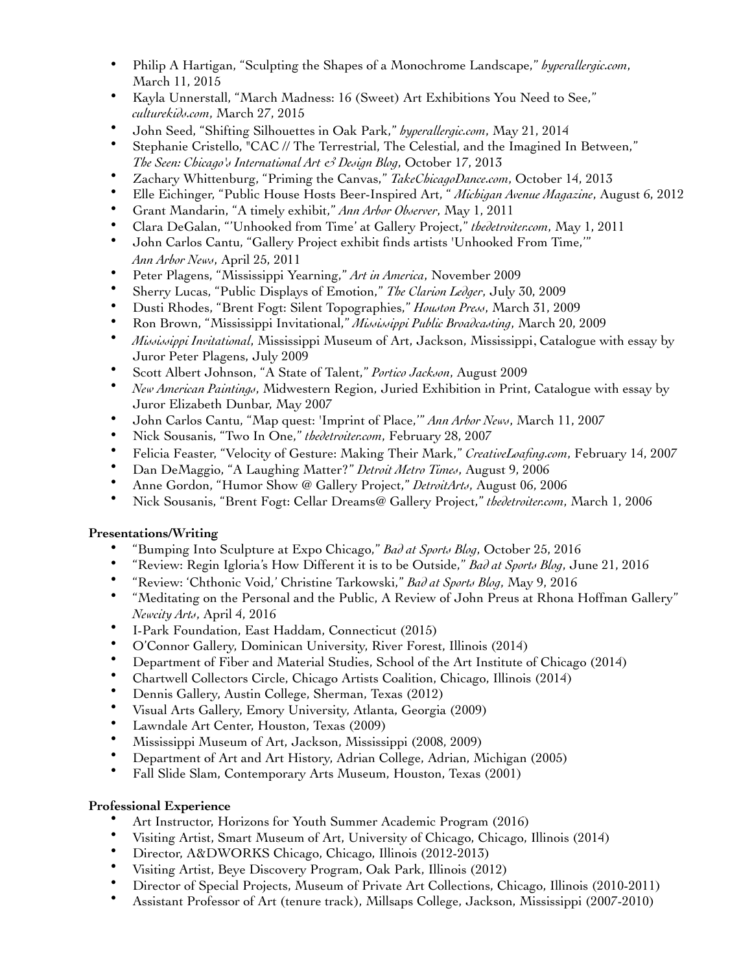- Philip A Hartigan, "Sculpting the Shapes of a Monochrome Landscape," *hyperallergic.com*, March 11, 2015
- Kayla Unnerstall, "March Madness: 16 (Sweet) Art Exhibitions You Need to See," *culturekids.com*, March 27, 2015
- John Seed, "Shifting Silhouettes in Oak Park," *hyperallergic.com*, May 21, 2014
- Stephanie Cristello, "CAC // The Terrestrial, The Celestial, and the Imagined In Between," *The Seen: Chicago's International Art & Design Blog*, October 17, 2013
- Zachary Whittenburg, "Priming the Canvas," *TakeChicagoDance.com*, October 14, 2013
- Elle Eichinger, "Public House Hosts Beer-Inspired Art, " *Michigan Avenue Magazine*, August 6, 2012
- Grant Mandarin, "A timely exhibit," *Ann Arbor Observer*, May 1, 2011
- Clara DeGalan, "'Unhooked from Time' at Gallery Project," *thedetroiter.com*, May 1, 2011
- John Carlos Cantu, "Gallery Project exhibit finds artists 'Unhooked From Time,'" *Ann Arbor News*, April 25, 2011
- Peter Plagens, "Mississippi Yearning," *Art in America*, November 2009
- Sherry Lucas, "Public Displays of Emotion," *The Clarion Ledger*, July 30, 2009
- Dusti Rhodes, "Brent Fogt: Silent Topographies," *Houston Press*, March 31, 2009
- Ron Brown, "Mississippi Invitational," *Mississippi Public Broadcasting*, March 20, 2009
- *Mississippi Invitational*, Mississippi Museum of Art, Jackson, Mississippi, Catalogue with essay by Juror Peter Plagens, July 2009
- Scott Albert Johnson, "A State of Talent," *Portico Jackson*, August 2009
- *New American Paintings*, Midwestern Region, Juried Exhibition in Print, Catalogue with essay by Juror Elizabeth Dunbar, May 2007
- John Carlos Cantu, "Map quest: 'Imprint of Place,'" *Ann Arbor News*, March 11, 2007
- Nick Sousanis, "Two In One," *thedetroiter.com*, February 28, 2007
- Felicia Feaster, "Velocity of Gesture: Making Their Mark," *CreativeLoafing.com*, February 14, 2007
- Dan DeMaggio, "A Laughing Matter?" *Detroit Metro Times*, August 9, 2006
- Anne Gordon, "Humor Show @ Gallery Project," *DetroitArts*, August 06, 2006
- Nick Sousanis, "Brent Fogt: Cellar Dreams@ Gallery Project," *thedetroiter.com*, March 1, 2006

#### **Presentations/Writing**

- "Bumping Into Sculpture at Expo Chicago," *Bad at Sports Blog*, October 25, 2016
- "Review: Regin Igloria's How Different it is to be Outside," *Bad at Sports Blog*, June 21, 2016
- "Review: 'Chthonic Void,' Christine Tarkowski," *Bad at Sports Blog*, May 9, 2016
- "Meditating on the Personal and the Public, A Review of John Preus at Rhona Hoffman Gallery" *Newcity Arts*, April 4, 2016
- I-Park Foundation, East Haddam, Connecticut (2015)
- O'Connor Gallery, Dominican University, River Forest, Illinois (2014)
- Department of Fiber and Material Studies, School of the Art Institute of Chicago (2014)
- Chartwell Collectors Circle, Chicago Artists Coalition, Chicago, Illinois (2014)
- Dennis Gallery, Austin College, Sherman, Texas (2012)
- Visual Arts Gallery, Emory University, Atlanta, Georgia (2009)<br>• Lawndale Art Center Houston, Texas (2009)
- Lawndale Art Center, Houston, Texas (2009)
- Mississippi Museum of Art, Jackson, Mississippi (2008, 2009)<br>• Department of Art and Art History, Adrian College, Adrian M
- Department of Art and Art History, Adrian College, Adrian, Michigan (2005)
- Fall Slide Slam, Contemporary Arts Museum, Houston, Texas (2001)

#### **Professional Experience**

- Art Instructor, Horizons for Youth Summer Academic Program (2016)
- Visiting Artist, Smart Museum of Art, University of Chicago, Chicago, Illinois (2014)
- Director, A&DWORKS Chicago, Chicago, Illinois (2012-2013)
- Visiting Artist, Beye Discovery Program, Oak Park, Illinois (2012)
- Director of Special Projects, Museum of Private Art Collections, Chicago, Illinois (2010-2011)
- Assistant Professor of Art (tenure track), Millsaps College, Jackson, Mississippi (2007-2010)